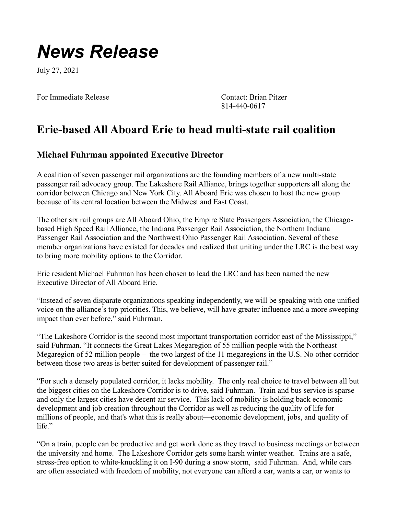## *News Release*

July 27, 2021

For Immediate Release Contact: Brian Pitzer

814-440-0617

## **Erie-based All Aboard Erie to head multi-state rail coalition**

## **Michael Fuhrman appointed Executive Director**

A coalition of seven passenger rail organizations are the founding members of a new multi-state passenger rail advocacy group. The Lakeshore Rail Alliance, brings together supporters all along the corridor between Chicago and New York City. All Aboard Erie was chosen to host the new group because of its central location between the Midwest and East Coast.

The other six rail groups are All Aboard Ohio, the Empire State Passengers Association, the Chicagobased High Speed Rail Alliance, the Indiana Passenger Rail Association, the Northern Indiana Passenger Rail Association and the Northwest Ohio Passenger Rail Association. Several of these member organizations have existed for decades and realized that uniting under the LRC is the best way to bring more mobility options to the Corridor.

Erie resident Michael Fuhrman has been chosen to lead the LRC and has been named the new Executive Director of All Aboard Erie.

"Instead of seven disparate organizations speaking independently, we will be speaking with one unified voice on the alliance's top priorities. This, we believe, will have greater influence and a more sweeping impact than ever before," said Fuhrman.

"The Lakeshore Corridor is the second most important transportation corridor east of the Mississippi," said Fuhrman. "It connects the Great Lakes Megaregion of 55 million people with the Northeast Megaregion of 52 million people – the two largest of the 11 megaregions in the U.S. No other corridor between those two areas is better suited for development of passenger rail."

"For such a densely populated corridor, it lacks mobility. The only real choice to travel between all but the biggest cities on the Lakeshore Corridor is to drive, said Fuhrman. Train and bus service is sparse and only the largest cities have decent air service. This lack of mobility is holding back economic development and job creation throughout the Corridor as well as reducing the quality of life for millions of people, and that's what this is really about—economic development, jobs, and quality of life."

"On a train, people can be productive and get work done as they travel to business meetings or between the university and home. The Lakeshore Corridor gets some harsh winter weather. Trains are a safe, stress-free option to white-knuckling it on I-90 during a snow storm, said Fuhrman. And, while cars are often associated with freedom of mobility, not everyone can afford a car, wants a car, or wants to